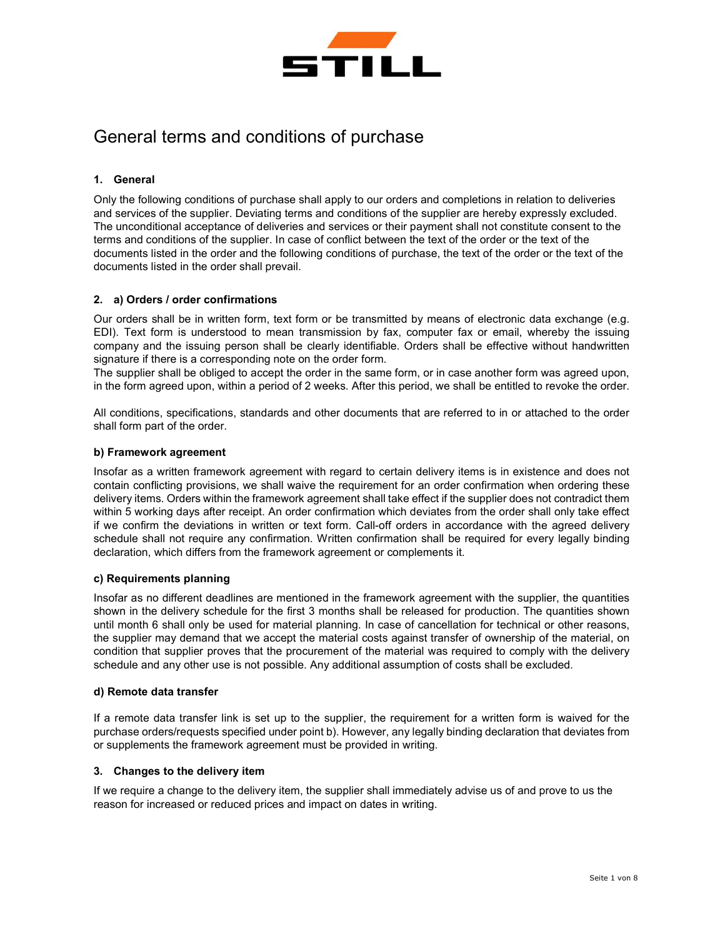

# General terms and conditions of purchase

# 1. General

Only the following conditions of purchase shall apply to our orders and completions in relation to deliveries and services of the supplier. Deviating terms and conditions of the supplier are hereby expressly excluded. The unconditional acceptance of deliveries and services or their payment shall not constitute consent to the terms and conditions of the supplier. In case of conflict between the text of the order or the text of the documents listed in the order and the following conditions of purchase, the text of the order or the text of the documents listed in the order shall prevail.

# 2. a) Orders / order confirmations

Our orders shall be in written form, text form or be transmitted by means of electronic data exchange (e.g. EDI). Text form is understood to mean transmission by fax, computer fax or email, whereby the issuing company and the issuing person shall be clearly identifiable. Orders shall be effective without handwritten signature if there is a corresponding note on the order form.

The supplier shall be obliged to accept the order in the same form, or in case another form was agreed upon, in the form agreed upon, within a period of 2 weeks. After this period, we shall be entitled to revoke the order.

All conditions, specifications, standards and other documents that are referred to in or attached to the order shall form part of the order.

## b) Framework agreement

Insofar as a written framework agreement with regard to certain delivery items is in existence and does not contain conflicting provisions, we shall waive the requirement for an order confirmation when ordering these delivery items. Orders within the framework agreement shall take effect if the supplier does not contradict them within 5 working days after receipt. An order confirmation which deviates from the order shall only take effect if we confirm the deviations in written or text form. Call-off orders in accordance with the agreed delivery schedule shall not require any confirmation. Written confirmation shall be required for every legally binding declaration, which differs from the framework agreement or complements it.

## c) Requirements planning

Insofar as no different deadlines are mentioned in the framework agreement with the supplier, the quantities shown in the delivery schedule for the first 3 months shall be released for production. The quantities shown until month 6 shall only be used for material planning. In case of cancellation for technical or other reasons, the supplier may demand that we accept the material costs against transfer of ownership of the material, on condition that supplier proves that the procurement of the material was required to comply with the delivery schedule and any other use is not possible. Any additional assumption of costs shall be excluded.

## d) Remote data transfer

If a remote data transfer link is set up to the supplier, the requirement for a written form is waived for the purchase orders/requests specified under point b). However, any legally binding declaration that deviates from or supplements the framework agreement must be provided in writing.

## 3. Changes to the delivery item

If we require a change to the delivery item, the supplier shall immediately advise us of and prove to us the reason for increased or reduced prices and impact on dates in writing.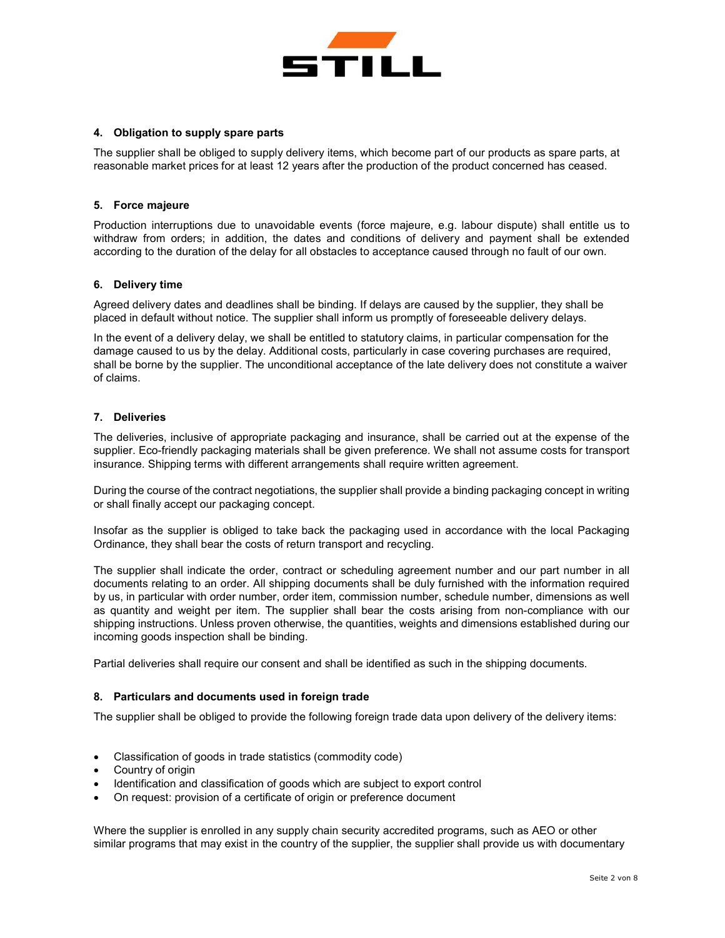

## 4. Obligation to supply spare parts

The supplier shall be obliged to supply delivery items, which become part of our products as spare parts, at reasonable market prices for at least 12 years after the production of the product concerned has ceased.

## 5. Force majeure

Production interruptions due to unavoidable events (force majeure, e.g. labour dispute) shall entitle us to withdraw from orders; in addition, the dates and conditions of delivery and payment shall be extended according to the duration of the delay for all obstacles to acceptance caused through no fault of our own.

## 6. Delivery time

Agreed delivery dates and deadlines shall be binding. If delays are caused by the supplier, they shall be placed in default without notice. The supplier shall inform us promptly of foreseeable delivery delays.

In the event of a delivery delay, we shall be entitled to statutory claims, in particular compensation for the damage caused to us by the delay. Additional costs, particularly in case covering purchases are required, shall be borne by the supplier. The unconditional acceptance of the late delivery does not constitute a waiver of claims.

## 7. Deliveries

The deliveries, inclusive of appropriate packaging and insurance, shall be carried out at the expense of the supplier. Eco-friendly packaging materials shall be given preference. We shall not assume costs for transport insurance. Shipping terms with different arrangements shall require written agreement.

During the course of the contract negotiations, the supplier shall provide a binding packaging concept in writing or shall finally accept our packaging concept.

Insofar as the supplier is obliged to take back the packaging used in accordance with the local Packaging Ordinance, they shall bear the costs of return transport and recycling.

The supplier shall indicate the order, contract or scheduling agreement number and our part number in all documents relating to an order. All shipping documents shall be duly furnished with the information required by us, in particular with order number, order item, commission number, schedule number, dimensions as well as quantity and weight per item. The supplier shall bear the costs arising from non-compliance with our shipping instructions. Unless proven otherwise, the quantities, weights and dimensions established during our incoming goods inspection shall be binding.

Partial deliveries shall require our consent and shall be identified as such in the shipping documents.

## 8. Particulars and documents used in foreign trade

The supplier shall be obliged to provide the following foreign trade data upon delivery of the delivery items:

- Classification of goods in trade statistics (commodity code)
- Country of origin
- Identification and classification of goods which are subject to export control
- On request: provision of a certificate of origin or preference document

Where the supplier is enrolled in any supply chain security accredited programs, such as AEO or other similar programs that may exist in the country of the supplier, the supplier shall provide us with documentary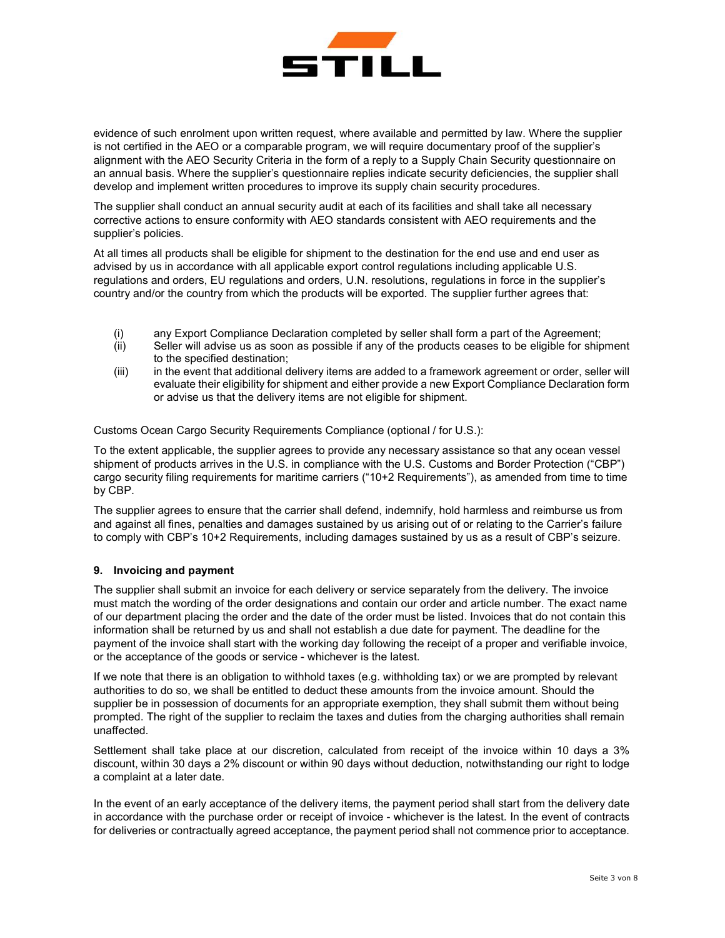

evidence of such enrolment upon written request, where available and permitted by law. Where the supplier is not certified in the AEO or a comparable program, we will require documentary proof of the supplier's alignment with the AEO Security Criteria in the form of a reply to a Supply Chain Security questionnaire on an annual basis. Where the supplier's questionnaire replies indicate security deficiencies, the supplier shall develop and implement written procedures to improve its supply chain security procedures.

The supplier shall conduct an annual security audit at each of its facilities and shall take all necessary corrective actions to ensure conformity with AEO standards consistent with AEO requirements and the supplier's policies.

At all times all products shall be eligible for shipment to the destination for the end use and end user as advised by us in accordance with all applicable export control regulations including applicable U.S. regulations and orders, EU regulations and orders, U.N. resolutions, regulations in force in the supplier's country and/or the country from which the products will be exported. The supplier further agrees that:

- (i) any Export Compliance Declaration completed by seller shall form a part of the Agreement;
- (ii) Seller will advise us as soon as possible if any of the products ceases to be eligible for shipment to the specified destination;
- (iii) in the event that additional delivery items are added to a framework agreement or order, seller will evaluate their eligibility for shipment and either provide a new Export Compliance Declaration form or advise us that the delivery items are not eligible for shipment.

Customs Ocean Cargo Security Requirements Compliance (optional / for U.S.):

To the extent applicable, the supplier agrees to provide any necessary assistance so that any ocean vessel shipment of products arrives in the U.S. in compliance with the U.S. Customs and Border Protection ("CBP") cargo security filing requirements for maritime carriers ("10+2 Requirements"), as amended from time to time by CBP.

The supplier agrees to ensure that the carrier shall defend, indemnify, hold harmless and reimburse us from and against all fines, penalties and damages sustained by us arising out of or relating to the Carrier's failure to comply with CBP's 10+2 Requirements, including damages sustained by us as a result of CBP's seizure.

# 9. Invoicing and payment

The supplier shall submit an invoice for each delivery or service separately from the delivery. The invoice must match the wording of the order designations and contain our order and article number. The exact name of our department placing the order and the date of the order must be listed. Invoices that do not contain this information shall be returned by us and shall not establish a due date for payment. The deadline for the payment of the invoice shall start with the working day following the receipt of a proper and verifiable invoice, or the acceptance of the goods or service - whichever is the latest.

If we note that there is an obligation to withhold taxes (e.g. withholding tax) or we are prompted by relevant authorities to do so, we shall be entitled to deduct these amounts from the invoice amount. Should the supplier be in possession of documents for an appropriate exemption, they shall submit them without being prompted. The right of the supplier to reclaim the taxes and duties from the charging authorities shall remain unaffected.

Settlement shall take place at our discretion, calculated from receipt of the invoice within 10 days a 3% discount, within 30 days a 2% discount or within 90 days without deduction, notwithstanding our right to lodge a complaint at a later date.

In the event of an early acceptance of the delivery items, the payment period shall start from the delivery date in accordance with the purchase order or receipt of invoice - whichever is the latest. In the event of contracts for deliveries or contractually agreed acceptance, the payment period shall not commence prior to acceptance.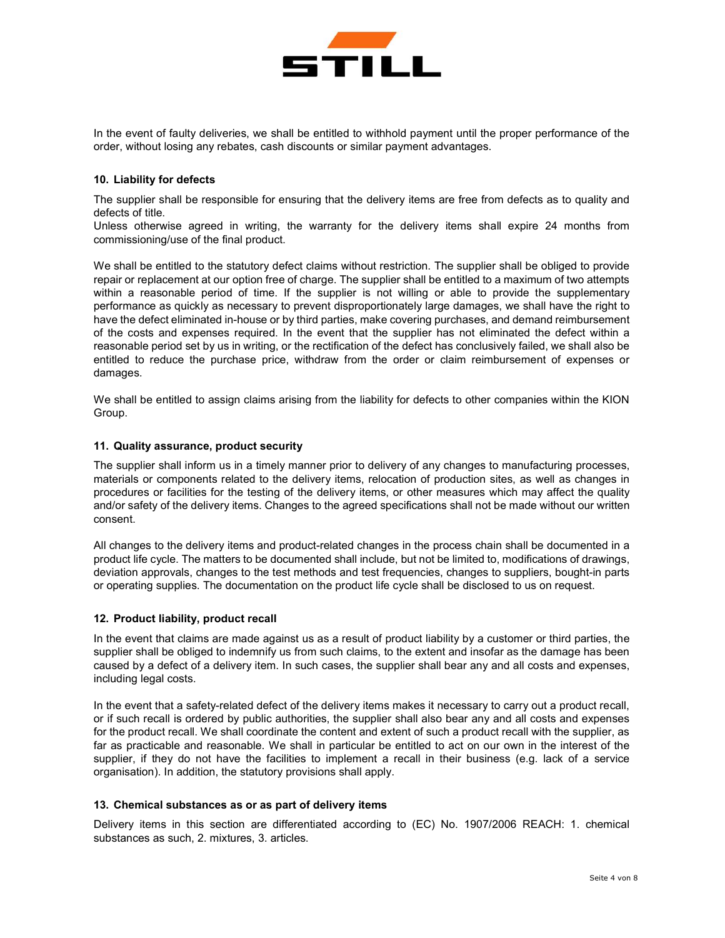

In the event of faulty deliveries, we shall be entitled to withhold payment until the proper performance of the order, without losing any rebates, cash discounts or similar payment advantages.

### 10. Liability for defects

The supplier shall be responsible for ensuring that the delivery items are free from defects as to quality and defects of title.

Unless otherwise agreed in writing, the warranty for the delivery items shall expire 24 months from commissioning/use of the final product.

We shall be entitled to the statutory defect claims without restriction. The supplier shall be obliged to provide repair or replacement at our option free of charge. The supplier shall be entitled to a maximum of two attempts within a reasonable period of time. If the supplier is not willing or able to provide the supplementary performance as quickly as necessary to prevent disproportionately large damages, we shall have the right to have the defect eliminated in-house or by third parties, make covering purchases, and demand reimbursement of the costs and expenses required. In the event that the supplier has not eliminated the defect within a reasonable period set by us in writing, or the rectification of the defect has conclusively failed, we shall also be entitled to reduce the purchase price, withdraw from the order or claim reimbursement of expenses or damages.

We shall be entitled to assign claims arising from the liability for defects to other companies within the KION Group.

#### 11. Quality assurance, product security

The supplier shall inform us in a timely manner prior to delivery of any changes to manufacturing processes, materials or components related to the delivery items, relocation of production sites, as well as changes in procedures or facilities for the testing of the delivery items, or other measures which may affect the quality and/or safety of the delivery items. Changes to the agreed specifications shall not be made without our written consent.

All changes to the delivery items and product-related changes in the process chain shall be documented in a product life cycle. The matters to be documented shall include, but not be limited to, modifications of drawings, deviation approvals, changes to the test methods and test frequencies, changes to suppliers, bought-in parts or operating supplies. The documentation on the product life cycle shall be disclosed to us on request.

## 12. Product liability, product recall

In the event that claims are made against us as a result of product liability by a customer or third parties, the supplier shall be obliged to indemnify us from such claims, to the extent and insofar as the damage has been caused by a defect of a delivery item. In such cases, the supplier shall bear any and all costs and expenses, including legal costs.

In the event that a safety-related defect of the delivery items makes it necessary to carry out a product recall, or if such recall is ordered by public authorities, the supplier shall also bear any and all costs and expenses for the product recall. We shall coordinate the content and extent of such a product recall with the supplier, as far as practicable and reasonable. We shall in particular be entitled to act on our own in the interest of the supplier, if they do not have the facilities to implement a recall in their business (e.g. lack of a service organisation). In addition, the statutory provisions shall apply.

#### 13. Chemical substances as or as part of delivery items

Delivery items in this section are differentiated according to (EC) No. 1907/2006 REACH: 1. chemical substances as such, 2. mixtures, 3. articles.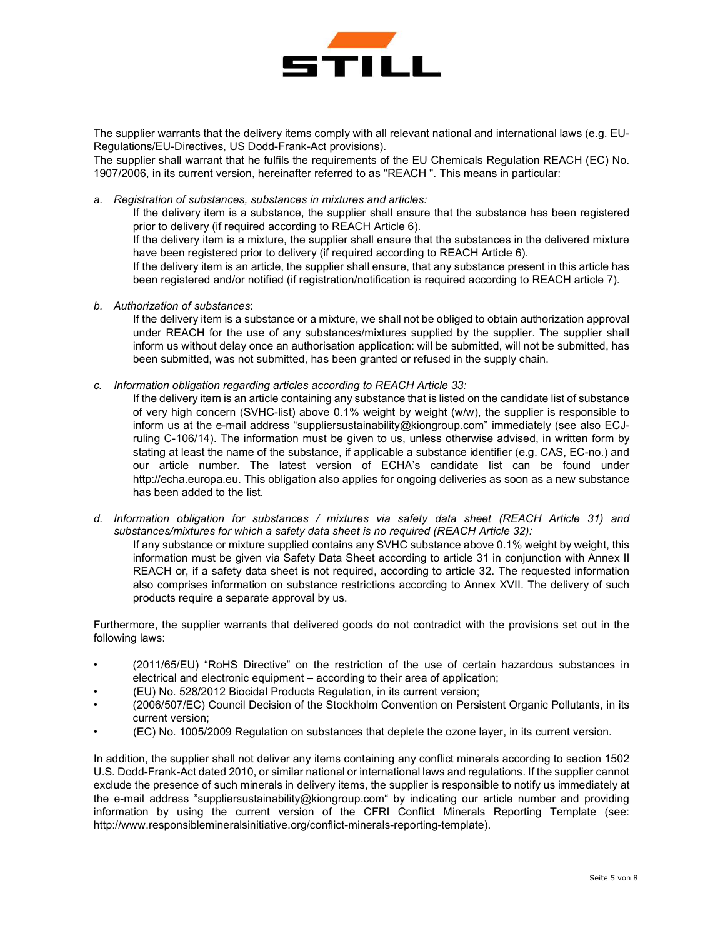

The supplier warrants that the delivery items comply with all relevant national and international laws (e.g. EU-Regulations/EU-Directives, US Dodd-Frank-Act provisions).

The supplier shall warrant that he fulfils the requirements of the EU Chemicals Regulation REACH (EC) No. 1907/2006, in its current version, hereinafter referred to as "REACH ". This means in particular:

a. Registration of substances, substances in mixtures and articles:

If the delivery item is a substance, the supplier shall ensure that the substance has been registered prior to delivery (if required according to REACH Article 6).

If the delivery item is a mixture, the supplier shall ensure that the substances in the delivered mixture have been registered prior to delivery (if required according to REACH Article 6).

If the delivery item is an article, the supplier shall ensure, that any substance present in this article has been registered and/or notified (if registration/notification is required according to REACH article 7).

b. Authorization of substances:

If the delivery item is a substance or a mixture, we shall not be obliged to obtain authorization approval under REACH for the use of any substances/mixtures supplied by the supplier. The supplier shall inform us without delay once an authorisation application: will be submitted, will not be submitted, has been submitted, was not submitted, has been granted or refused in the supply chain.

c. Information obligation regarding articles according to REACH Article 33:

If the delivery item is an article containing any substance that is listed on the candidate list of substance of very high concern (SVHC-list) above 0.1% weight by weight (w/w), the supplier is responsible to inform us at the e-mail address "suppliersustainability@kiongroup.com" immediately (see also ECJruling C-106/14). The information must be given to us, unless otherwise advised, in written form by stating at least the name of the substance, if applicable a substance identifier (e.g. CAS, EC-no.) and our article number. The latest version of ECHA's candidate list can be found under http://echa.europa.eu. This obligation also applies for ongoing deliveries as soon as a new substance has been added to the list.

d. Information obligation for substances / mixtures via safety data sheet (REACH Article 31) and substances/mixtures for which a safety data sheet is no required (REACH Article 32):

If any substance or mixture supplied contains any SVHC substance above 0.1% weight by weight, this information must be given via Safety Data Sheet according to article 31 in conjunction with Annex II REACH or, if a safety data sheet is not required, according to article 32. The requested information also comprises information on substance restrictions according to Annex XVII. The delivery of such products require a separate approval by us.

Furthermore, the supplier warrants that delivered goods do not contradict with the provisions set out in the following laws:

- (2011/65/EU) "RoHS Directive" on the restriction of the use of certain hazardous substances in electrical and electronic equipment – according to their area of application;
- (EU) No. 528/2012 Biocidal Products Regulation, in its current version;
- (2006/507/EC) Council Decision of the Stockholm Convention on Persistent Organic Pollutants, in its current version;
- (EC) No. 1005/2009 Regulation on substances that deplete the ozone layer, in its current version.

In addition, the supplier shall not deliver any items containing any conflict minerals according to section 1502 U.S. Dodd-Frank-Act dated 2010, or similar national or international laws and regulations. If the supplier cannot exclude the presence of such minerals in delivery items, the supplier is responsible to notify us immediately at the e-mail address "suppliersustainability@kiongroup.com" by indicating our article number and providing information by using the current version of the CFRI Conflict Minerals Reporting Template (see: http://www.responsiblemineralsinitiative.org/conflict-minerals-reporting-template).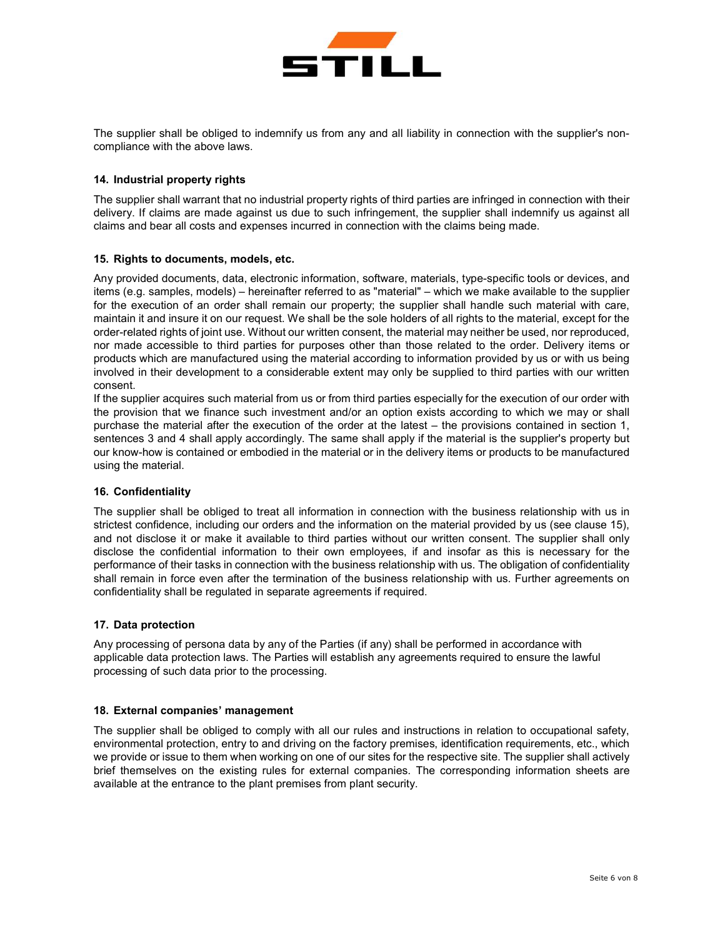

The supplier shall be obliged to indemnify us from any and all liability in connection with the supplier's noncompliance with the above laws.

# 14. Industrial property rights

The supplier shall warrant that no industrial property rights of third parties are infringed in connection with their delivery. If claims are made against us due to such infringement, the supplier shall indemnify us against all claims and bear all costs and expenses incurred in connection with the claims being made.

## 15. Rights to documents, models, etc.

Any provided documents, data, electronic information, software, materials, type-specific tools or devices, and items (e.g. samples, models) – hereinafter referred to as "material" – which we make available to the supplier for the execution of an order shall remain our property; the supplier shall handle such material with care, maintain it and insure it on our request. We shall be the sole holders of all rights to the material, except for the order-related rights of joint use. Without our written consent, the material may neither be used, nor reproduced, nor made accessible to third parties for purposes other than those related to the order. Delivery items or products which are manufactured using the material according to information provided by us or with us being involved in their development to a considerable extent may only be supplied to third parties with our written consent.

If the supplier acquires such material from us or from third parties especially for the execution of our order with the provision that we finance such investment and/or an option exists according to which we may or shall purchase the material after the execution of the order at the latest – the provisions contained in section 1, sentences 3 and 4 shall apply accordingly. The same shall apply if the material is the supplier's property but our know-how is contained or embodied in the material or in the delivery items or products to be manufactured using the material.

## 16. Confidentiality

The supplier shall be obliged to treat all information in connection with the business relationship with us in strictest confidence, including our orders and the information on the material provided by us (see clause 15), and not disclose it or make it available to third parties without our written consent. The supplier shall only disclose the confidential information to their own employees, if and insofar as this is necessary for the performance of their tasks in connection with the business relationship with us. The obligation of confidentiality shall remain in force even after the termination of the business relationship with us. Further agreements on confidentiality shall be regulated in separate agreements if required.

## 17. Data protection

Any processing of persona data by any of the Parties (if any) shall be performed in accordance with applicable data protection laws. The Parties will establish any agreements required to ensure the lawful processing of such data prior to the processing.

## 18. External companies' management

The supplier shall be obliged to comply with all our rules and instructions in relation to occupational safety, environmental protection, entry to and driving on the factory premises, identification requirements, etc., which we provide or issue to them when working on one of our sites for the respective site. The supplier shall actively brief themselves on the existing rules for external companies. The corresponding information sheets are available at the entrance to the plant premises from plant security.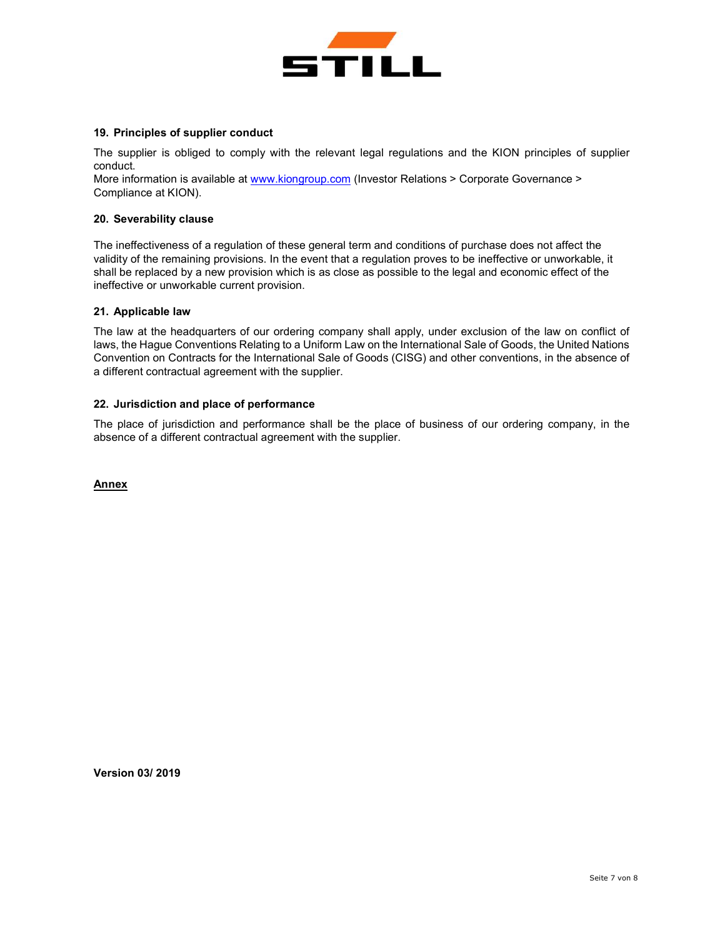

## 19. Principles of supplier conduct

The supplier is obliged to comply with the relevant legal regulations and the KION principles of supplier conduct.

More information is available at www.kiongroup.com (Investor Relations > Corporate Governance > Compliance at KION).

#### 20. Severability clause

The ineffectiveness of a regulation of these general term and conditions of purchase does not affect the validity of the remaining provisions. In the event that a regulation proves to be ineffective or unworkable, it shall be replaced by a new provision which is as close as possible to the legal and economic effect of the ineffective or unworkable current provision.

## 21. Applicable law

The law at the headquarters of our ordering company shall apply, under exclusion of the law on conflict of laws, the Hague Conventions Relating to a Uniform Law on the International Sale of Goods, the United Nations Convention on Contracts for the International Sale of Goods (CISG) and other conventions, in the absence of a different contractual agreement with the supplier.

## 22. Jurisdiction and place of performance

The place of jurisdiction and performance shall be the place of business of our ordering company, in the absence of a different contractual agreement with the supplier.

#### Annex

Version 03/ 2019